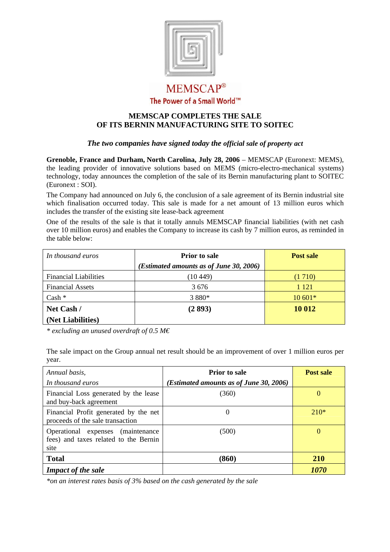

## **MEMSCAP®** The Power of a Small World™

## **MEMSCAP COMPLETES THE SALE OF ITS BERNIN MANUFACTURING SITE TO SOITEC**

## *The two companies have signed today the official sale of property act*

**Grenoble, France and Durham, North Carolina, July 28, 2006** – MEMSCAP (Euronext: MEMS), the leading provider of innovative solutions based on MEMS (micro-electro-mechanical systems) technology, today announces the completion of the sale of its Bernin manufacturing plant to SOITEC (Euronext : SOI).

The Company had announced on July 6, the conclusion of a sale agreement of its Bernin industrial site which finalisation occurred today. This sale is made for a net amount of 13 million euros which includes the transfer of the existing site lease-back agreement

One of the results of the sale is that it totally annuls MEMSCAP financial liabilities (with net cash over 10 million euros) and enables the Company to increase its cash by 7 million euros, as reminded in the table below:

| In thousand euros            | <b>Prior</b> to sale                    | Post sale |
|------------------------------|-----------------------------------------|-----------|
|                              | (Estimated amounts as of June 30, 2006) |           |
| <b>Financial Liabilities</b> | (10449)                                 | (1710)    |
| <b>Financial Assets</b>      | 3 6 7 6                                 | 1 1 2 1   |
| $Cash *$                     | 3 8 8 0 *                               | $10601*$  |
| Net Cash /                   | (2893)                                  | 10 012    |
| (Net Liabilities)            |                                         |           |

*\* excluding an unused overdraft of 0.5 M€*

The sale impact on the Group annual net result should be an improvement of over 1 million euros per year.

| Annual basis,                                                                      | <b>Prior</b> to sale                    | Post sale          |
|------------------------------------------------------------------------------------|-----------------------------------------|--------------------|
| In thousand euros                                                                  | (Estimated amounts as of June 30, 2006) |                    |
| Financial Loss generated by the lease<br>and buy-back agreement                    | (360)                                   | 0                  |
| Financial Profit generated by the net<br>proceeds of the sale transaction          | $\theta$                                | $210*$             |
| Operational expenses (maintenance<br>fees) and taxes related to the Bernin<br>site | (500)                                   | 0                  |
| <b>Total</b>                                                                       | (860)                                   | <b>210</b>         |
| <b>Impact of the sale</b>                                                          |                                         | <i><b>1070</b></i> |

*\*on an interest rates basis of 3% based on the cash generated by the sale*